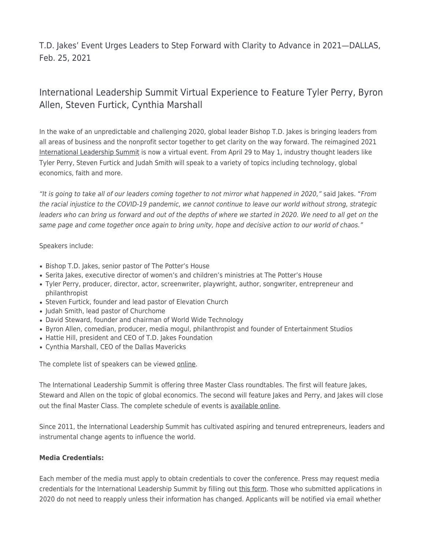T.D. Jakes' Event Urges Leaders to Step Forward with Clarity to Advance in 2021—DALLAS, Feb. 25, 2021

## International Leadership Summit Virtual Experience to Feature Tyler Perry, Byron Allen, Steven Furtick, Cynthia Marshall

In the wake of an unpredictable and challenging 2020, global leader Bishop T.D. Jakes is bringing leaders from all areas of business and the nonprofit sector together to get clarity on the way forward. The reimagined 2021 [International Leadership Summit](https://www.thisisils.org/) is now a virtual event. From April 29 to May 1, industry thought leaders like Tyler Perry, Steven Furtick and Judah Smith will speak to a variety of topics including technology, global economics, faith and more.

"It is going to take all of our leaders coming together to not mirror what happened in 2020," said Jakes. "From the racial injustice to the COVID-19 pandemic, we cannot continue to leave our world without strong, strategic leaders who can bring us forward and out of the depths of where we started in 2020. We need to all get on the same page and come together once again to bring unity, hope and decisive action to our world of chaos."

## Speakers include:

- Bishop T.D. Jakes, senior pastor of The Potter's House
- Serita Jakes, executive director of women's and children's ministries at The Potter's House
- Tyler Perry, producer, director, actor, screenwriter, playwright, author, songwriter, entrepreneur and philanthropist
- Steven Furtick, founder and lead pastor of Elevation Church
- Judah Smith, lead pastor of Churchome
- David Steward, founder and chairman of World Wide Technology
- Byron Allen, comedian, producer, media mogul, philanthropist and founder of Entertainment Studios
- Hattie Hill, president and CEO of T.D. Jakes Foundation
- Cynthia Marshall, CEO of the Dallas Mavericks

The complete list of speakers can be viewed [online.](https://www.thisisils.org/speakers/)

The International Leadership Summit is offering three Master Class roundtables. The first will feature Jakes, Steward and Allen on the topic of global economics. The second will feature Jakes and Perry, and Jakes will close out the final Master Class. The complete schedule of events is [available online.](https://www.thisisils.org/schedule/)

Since 2011, the International Leadership Summit has cultivated aspiring and tenured entrepreneurs, leaders and instrumental change agents to influence the world.

## **Media Credentials:**

Each member of the media must apply to obtain credentials to cover the conference. Press may request media credentials for the International Leadership Summit by filling out [this form.](https://thepottershouse.brushfire.com/intl-leadership-conference/460832) Those who submitted applications in 2020 do not need to reapply unless their information has changed. Applicants will be notified via email whether